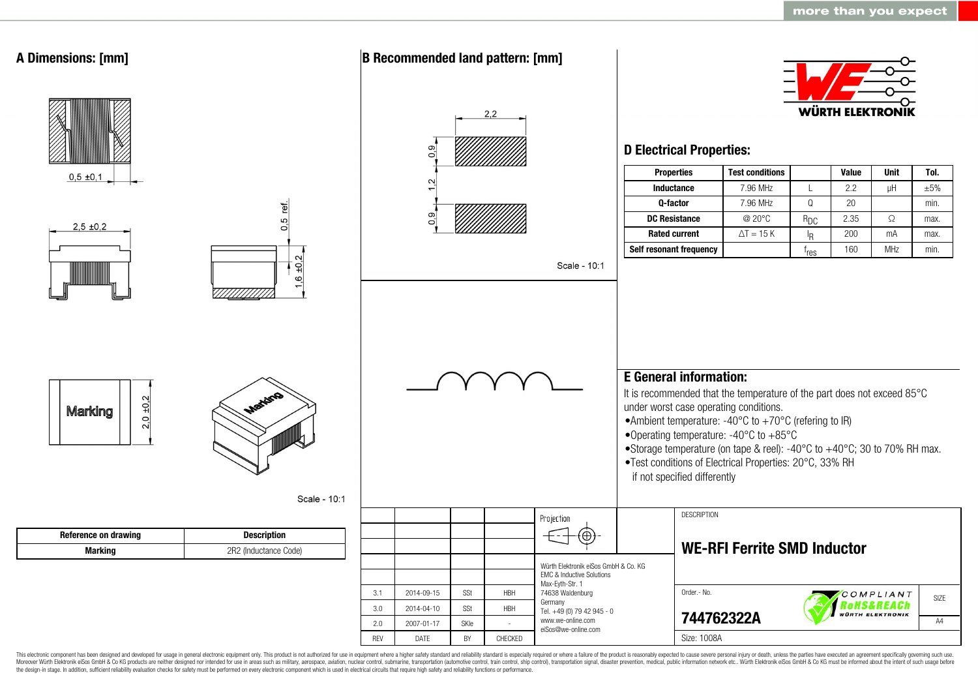

This electronic component has been designed and developed for usage in general electronic equipment only. This product is not authorized for use in equipment where a higher safety standard and reliability standard is espec Moreover Würth Elektronik eiSos GmbH & Co KG products are neither designed nor intended for use in areas such as military, aerospace, aviation, nuclear control, submarine, transportation (automotive control, ship control), the design-in stage. In addition, sufficient reliability evaluation checks for safety must be performed on every electronic component which is used in electrical circuits that require high safety and reliability functions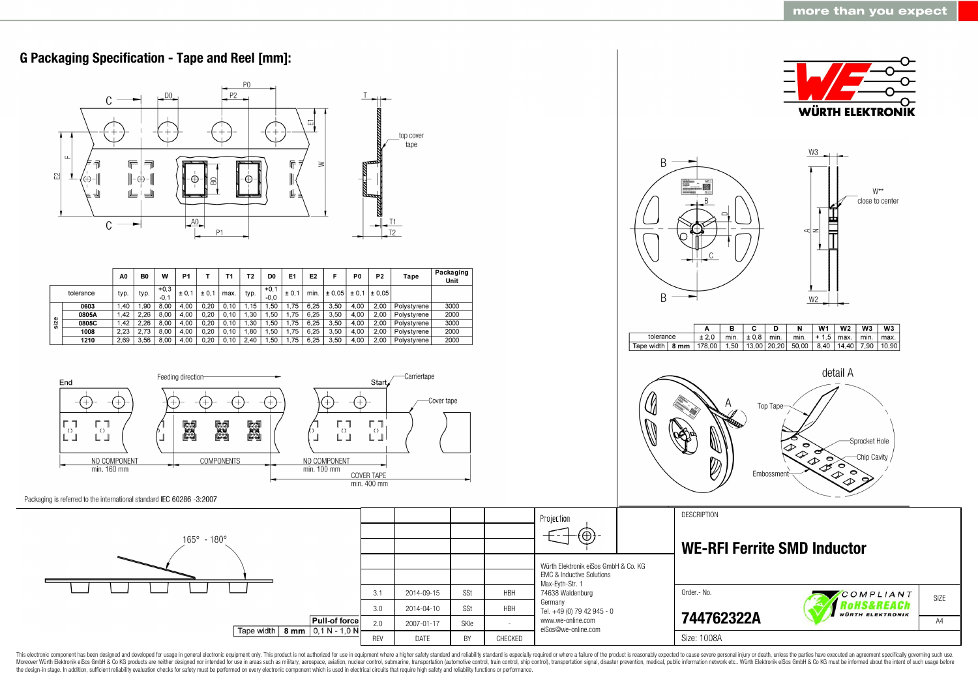

This electronic component has been designed and developed for usage in general electronic equipment only. This product is not authorized for use in equipment where a higher safety standard and reliability standard as espec Moreover Würth Elektronik eiSos GmbH & Co KG products are neither designed nor intended for use in areas such as military, aerospace, aviation, nuclear control, submarine, transportation (automotive control, ship control), the design-in stage. In addition, sufficient reliability evaluation checks for safety must be performed on every electronic component which is used in electrical circuits that require high safety and reliability functions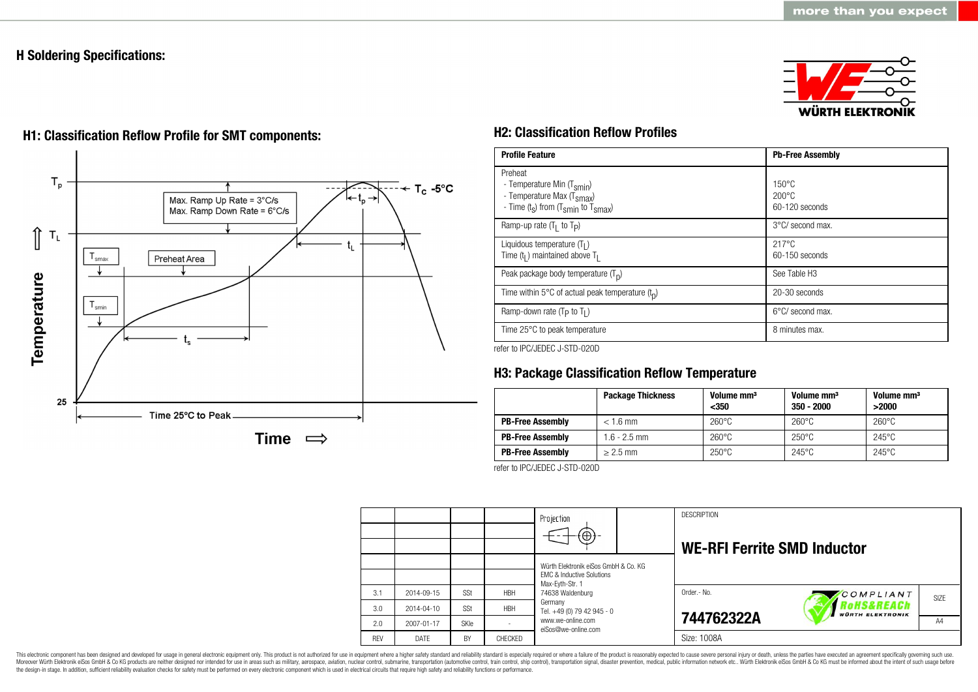## **H Soldering Specifications:**





# **H1: Classification Reflow Profile for SMT components: H2: Classification Reflow Profiles**

| <b>Profile Feature</b>                                                                                                                        | <b>Pb-Free Assembly</b>                             |
|-----------------------------------------------------------------------------------------------------------------------------------------------|-----------------------------------------------------|
| Preheat<br>- Temperature Min (T <sub>smin</sub> )<br>- Temperature Max (T <sub>Smax</sub> )<br>- Time $(t_s)$ from $(T_{smin}$ to $T_{smax})$ | $150^{\circ}$ C<br>$200\degree C$<br>60-120 seconds |
| Ramp-up rate $(T_1$ to $T_p$ )                                                                                                                | 3°C/ second max.                                    |
| Liquidous temperature $(T1)$<br>Time $(tl)$ maintained above T <sub>1</sub>                                                                   | $217^{\circ}$ C<br>60-150 seconds                   |
| Peak package body temperature $(Tp)$                                                                                                          | See Table H <sub>3</sub>                            |
| Time within 5°C of actual peak temperature $(t_n)$                                                                                            | 20-30 seconds                                       |
| Ramp-down rate ( $T_P$ to $T_I$ )                                                                                                             | $6^{\circ}$ C/ second max.                          |
| Time 25°C to peak temperature                                                                                                                 | 8 minutes max.                                      |

refer to IPC/JEDEC J-STD-020D

# **H3: Package Classification Reflow Temperature**

|                         | <b>Package Thickness</b> | Volume mm <sup>3</sup><br>$350$ | Volume mm <sup>3</sup><br>$350 - 2000$ | Volume mm <sup>3</sup><br>>2000 |
|-------------------------|--------------------------|---------------------------------|----------------------------------------|---------------------------------|
| <b>PB-Free Assembly</b> | $< 1.6$ mm               | $260^{\circ}$ C                 | $260^{\circ}$ C                        | $260^{\circ}$ C                 |
| <b>PB-Free Assembly</b> | $1.6 - 2.5$ mm           | $260^{\circ}$ C                 | $250^{\circ}$ C                        | $245^{\circ}$ C                 |
| <b>PB-Free Assembly</b> | $> 2.5$ mm               | $250^{\circ}$ C                 | $245^{\circ}$ C                        | $245^{\circ}$ C                 |

refer to IPC/JEDEC J-STD-020D

|            |            |             |            | Projection<br>$\oplus$                                                                                              |  | <b>DESCRIPTION</b><br><b>WE-RFI Ferrite SMD Inductor</b> |                                       |      |
|------------|------------|-------------|------------|---------------------------------------------------------------------------------------------------------------------|--|----------------------------------------------------------|---------------------------------------|------|
|            |            |             |            | Würth Elektronik eiSos GmbH & Co. KG<br><b>EMC &amp; Inductive Solutions</b><br>Max-Eyth-Str. 1<br>74638 Waldenburg |  |                                                          |                                       |      |
| 3.1        | 2014-09-15 | SSt         | <b>HBH</b> |                                                                                                                     |  | Order.- No.                                              | COMPLIANT                             | SIZE |
| 3.0        | 2014-04-10 | SSt         | <b>HBH</b> | Germany<br>Tel. +49 (0) 79 42 945 - 0                                                                               |  |                                                          | Rohs&REACh<br><b>WÜRTH ELEKTRONIK</b> |      |
| 2.0        | 2007-01-17 | <b>SKIe</b> |            | www.we-online.com<br>eiSos@we-online.com                                                                            |  | 744762322A                                               |                                       | AA   |
| <b>RFV</b> | DATE       | BY          | CHECKED    |                                                                                                                     |  | Size: 1008A                                              |                                       |      |

This electronic component has been designed and developed for usage in general electronic equipment only. This product is not authorized for use in equipment where a higher safety standard and reliability standard is espec Moreover Würth Elektronik eiSos GmbH & Co KG products are neither designed nor intended for use in areas such as military, aerospace, aviation, nuclear control, submarine, transportation (automotive control), stain control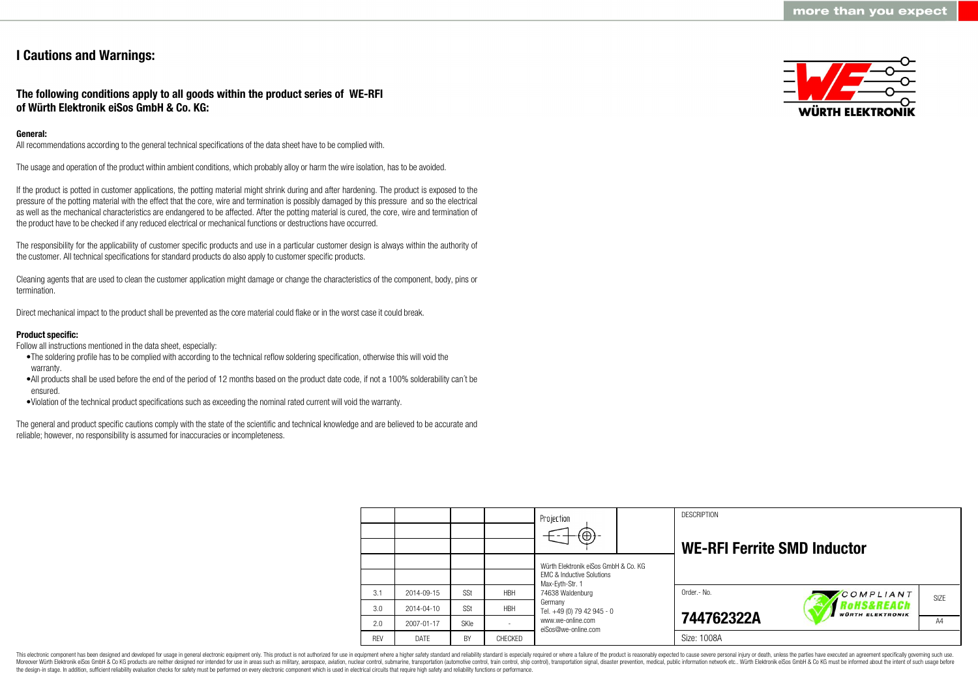## **I Cautions and Warnings:**

**The following conditions apply to all goods within the product series of WE-RFI of Würth Elektronik eiSos GmbH & Co. KG:**

### **General:**

All recommendations according to the general technical specifications of the data sheet have to be complied with.

The usage and operation of the product within ambient conditions, which probably alloy or harm the wire isolation, has to be avoided.

If the product is potted in customer applications, the potting material might shrink during and after hardening. The product is exposed to the pressure of the potting material with the effect that the core, wire and termination is possibly damaged by this pressure and so the electrical as well as the mechanical characteristics are endangered to be affected. After the potting material is cured, the core, wire and termination of the product have to be checked if any reduced electrical or mechanical functions or destructions have occurred.

The responsibility for the applicability of customer specific products and use in a particular customer design is always within the authority of the customer. All technical specifications for standard products do also apply to customer specific products.

Cleaning agents that are used to clean the customer application might damage or change the characteristics of the component, body, pins or termination.

Direct mechanical impact to the product shall be prevented as the core material could flake or in the worst case it could break.

#### **Product specific:**

Follow all instructions mentioned in the data sheet, especially:

- •The soldering profile has to be complied with according to the technical reflow soldering specification, otherwise this will void the warranty.
- •All products shall be used before the end of the period of 12 months based on the product date code, if not a 100% solderability can´t be ensured.
- •Violation of the technical product specifications such as exceeding the nominal rated current will void the warranty.

The general and product specific cautions comply with the state of the scientific and technical knowledge and are believed to be accurate and reliable; however, no responsibility is assumed for inaccuracies or incompleteness.



|            |                  |             |            | Projection<br>$\textcircled{\scriptsize{+}}$                                 |  | <b>DESCRIPTION</b><br><b>WE-RFI Ferrite SMD Inductor</b> |                                      |      |
|------------|------------------|-------------|------------|------------------------------------------------------------------------------|--|----------------------------------------------------------|--------------------------------------|------|
|            |                  |             |            | Würth Elektronik eiSos GmbH & Co. KG<br><b>EMC &amp; Inductive Solutions</b> |  |                                                          |                                      |      |
| 3.1        | 2014-09-15       | SSt         | <b>HBH</b> | Max-Evth-Str. 1<br>74638 Waldenburg                                          |  | Order.- No.                                              | COMPLIANT                            | SIZE |
| 3.0        | $2014 - 04 - 10$ | SSt         | <b>HBH</b> | Germany<br>Tel. +49 (0) 79 42 945 - 0                                        |  |                                                          | oHS&REACh<br><b>WÜRTH ELEKTRONIK</b> |      |
| 2.0        | 2007-01-17       | <b>SKIe</b> |            | www.we-online.com<br>eiSos@we-online.com                                     |  | 744762322A                                               |                                      | A4   |
| <b>REV</b> | DATE             | BY          | CHECKED    |                                                                              |  | Size: 1008A                                              |                                      |      |

This electronic component has been designed and developed for usage in general electronic equipment only. This product is not authorized for use in equipment where a higher safety standard and reliability standard is espec Moreover Würth Elektronik eiSos GmbH & Co KG products are neither designed nor intended for use in areas such as military, aerospace, aviation, nuclear control, submarine, transportation (automotive control), tain control) the design-in stage. In addition, sufficient reliability evaluation checks for safety must be performed on every electronic component which is used in electrical circuits that require high safety and reliability functions